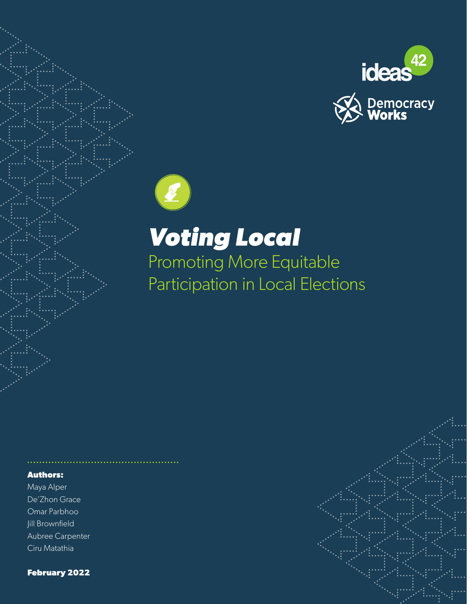





# *Voting Local*

Promoting More Equitable Participation in Local Elections

#### **Authors:**

Maya Alper De'Zhon Grace Omar Parbhoo Jill Brownfield Aubree Carpenter Ciru Matathia

**February 2022**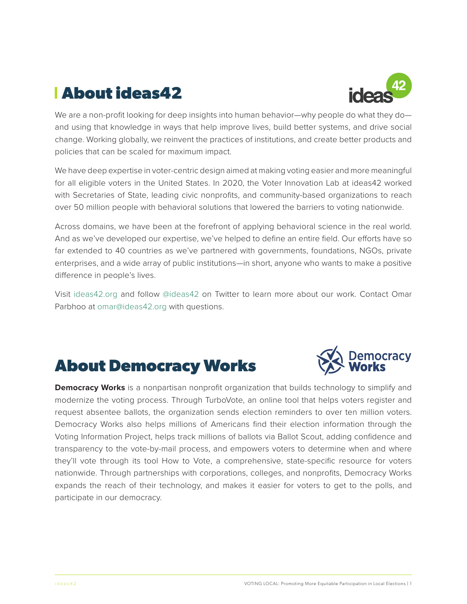# **About ideas42**



We are a non-profit looking for deep insights into human behavior—why people do what they do and using that knowledge in ways that help improve lives, build better systems, and drive social change. Working globally, we reinvent the practices of institutions, and create better products and policies that can be scaled for maximum impact.

We have deep expertise in voter-centric design aimed at making voting easier and more meaningful for all eligible voters in the United States. In 2020, the Voter Innovation Lab at ideas42 worked with Secretaries of State, leading civic nonprofits, and community-based organizations to reach over 50 million people with behavioral solutions that lowered the barriers to voting nationwide.

Across domains, we have been at the forefront of applying behavioral science in the real world. And as we've developed our expertise, we've helped to define an entire field. Our efforts have so far extended to 40 countries as we've partnered with governments, foundations, NGOs, private enterprises, and a wide array of public institutions—in short, anyone who wants to make a positive difference in people's lives.

Visit [ideas42.org](http://www.ideas42.com) and follow [@ideas42](http://www.twitter.com/ideas42) on Twitter to learn more about our work. Contact Omar Parbhoo at [omar@ideas42.org](mailto:omar%40ideas42.org?subject=) with questions.

# **About Democracy Works**



**Democracy Works** is a nonpartisan nonprofit organization that builds technology to simplify and modernize the voting process. Through TurboVote, an online tool that helps voters register and request absentee ballots, the organization sends election reminders to over ten million voters. Democracy Works also helps millions of Americans find their election information through the Voting Information Project, helps track millions of ballots via Ballot Scout, adding confidence and transparency to the vote-by-mail process, and empowers voters to determine when and where they'll vote through its tool How to Vote, a comprehensive, state-specific resource for voters nationwide. Through partnerships with corporations, colleges, and nonprofits, Democracy Works expands the reach of their technology, and makes it easier for voters to get to the polls, and participate in our democracy.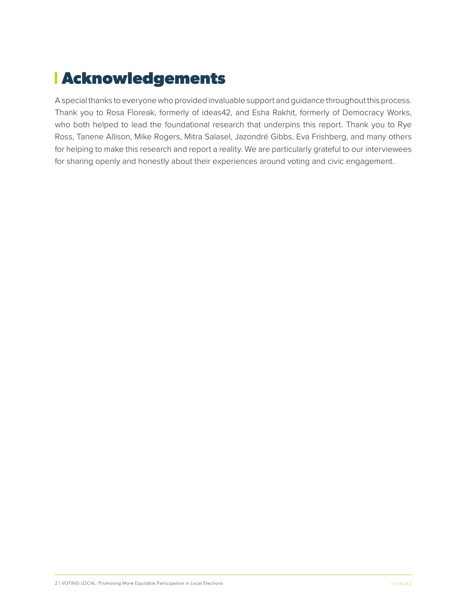# **Acknowledgements**

A special thanks to everyone who provided invaluable support and guidance throughout this process. Thank you to Rosa Floreak, formerly of ideas42, and Esha Rakhit, formerly of Democracy Works, who both helped to lead the foundational research that underpins this report. Thank you to Rye Ross, Tanene Allison, Mike Rogers, Mitra Salasel, Jazondré Gibbs, Eva Frishberg, and many others for helping to make this research and report a reality. We are particularly grateful to our interviewees for sharing openly and honestly about their experiences around voting and civic engagement.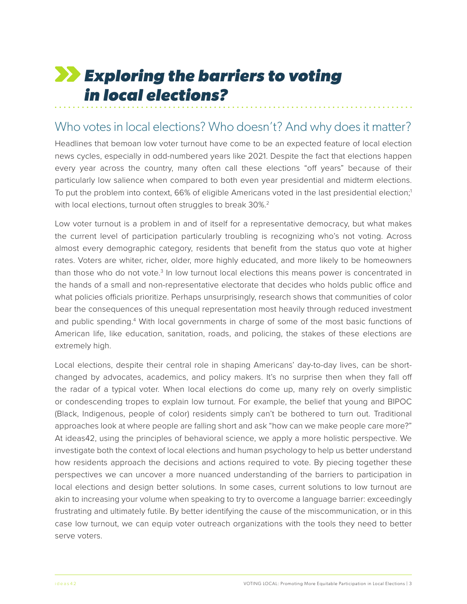# <span id="page-3-0"></span>*Exploring the barriers to voting in local elections?*

### Who votes in local elections? Who doesn't? And why does it matter?

Headlines that bemoan low voter turnout have come to be an expected feature of local election news cycles, especially in odd-numbered years like 2021. Despite the fact that elections happen every year across the country, many often call these elections "off years" because of their particularly low salience when compared to both even year presidential and midterm elections. To put the problem into context, 66% of eligible Americans voted in the last presidential election;<sup>1</sup> with local elections, turnout often struggles to break 30%.<sup>2</sup>

Low voter turnout is a problem in and of itself for a representative democracy, but what makes the current level of participation particularly troubling is recognizing who's not voting. Across almost every demographic category, residents that benefit from the status quo vote at higher rates. Voters are whiter, richer, older, more highly educated, and more likely to be homeowners than those who do not vote.<sup>[3](#page-24-0)</sup> In low turnout local elections this means power is concentrated in the hands of a small and non-representative electorate that decides who holds public office and what policies officials prioritize. Perhaps unsurprisingly, research shows that communities of color bear the consequences of this unequal representation most heavily through reduced investment and public spending.<sup>[4](#page-24-0)</sup> With local governments in charge of some of the most basic functions of American life, like education, sanitation, roads, and policing, the stakes of these elections are extremely high.

Local elections, despite their central role in shaping Americans' day-to-day lives, can be shortchanged by advocates, academics, and policy makers. It's no surprise then when they fall off the radar of a typical voter. When local elections do come up, many rely on overly simplistic or condescending tropes to explain low turnout. For example, the belief that young and BIPOC (Black, Indigenous, people of color) residents simply can't be bothered to turn out. Traditional approaches look at where people are falling short and ask "how can we make people care more?" At ideas42, using the principles of behavioral science, we apply a more holistic perspective. We investigate both the context of local elections and human psychology to help us better understand how residents approach the decisions and actions required to vote. By piecing together these perspectives we can uncover a more nuanced understanding of the barriers to participation in local elections and design better solutions. In some cases, current solutions to low turnout are akin to increasing your volume when speaking to try to overcome a language barrier: exceedingly frustrating and ultimately futile. By better identifying the cause of the miscommunication, or in this case low turnout, we can equip voter outreach organizations with the tools they need to better serve voters.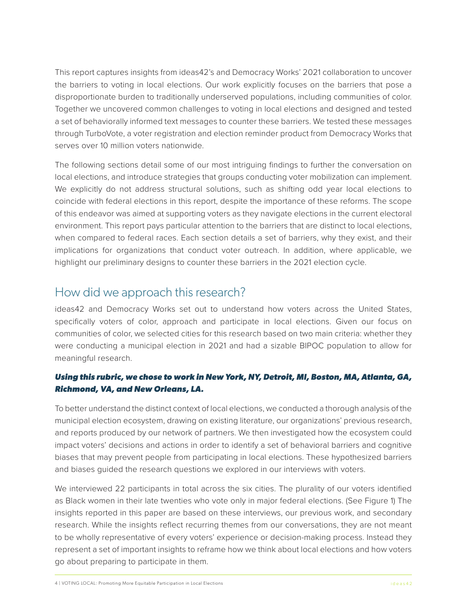This report captures insights from ideas42's and Democracy Works' 2021 collaboration to uncover the barriers to voting in local elections. Our work explicitly focuses on the barriers that pose a disproportionate burden to traditionally underserved populations, including communities of color. Together we uncovered common challenges to voting in local elections and designed and tested a set of behaviorally informed text messages to counter these barriers. We tested these messages through TurboVote, a voter registration and election reminder product from Democracy Works that serves over 10 million voters nationwide.

The following sections detail some of our most intriguing findings to further the conversation on local elections, and introduce strategies that groups conducting voter mobilization can implement. We explicitly do not address structural solutions, such as shifting odd year local elections to coincide with federal elections in this report, despite the importance of these reforms. The scope of this endeavor was aimed at supporting voters as they navigate elections in the current electoral environment. This report pays particular attention to the barriers that are distinct to local elections, when compared to federal races. Each section details a set of barriers, why they exist, and their implications for organizations that conduct voter outreach. In addition, where applicable, we highlight our preliminary designs to counter these barriers in the 2021 election cycle.

## How did we approach this research?

ideas42 and Democracy Works set out to understand how voters across the United States, specifically voters of color, approach and participate in local elections. Given our focus on communities of color, we selected cities for this research based on two main criteria: whether they were conducting a municipal election in 2021 and had a sizable BIPOC population to allow for meaningful research.

### *Using this rubric, we chose to work in New York, NY, Detroit, MI, Boston, MA, Atlanta, GA, Richmond, VA, and New Orleans, LA.*

To better understand the distinct context of local elections, we conducted a thorough analysis of the municipal election ecosystem, drawing on existing literature, our organizations' previous research, and reports produced by our network of partners. We then investigated how the ecosystem could impact voters' decisions and actions in order to identify a set of behavioral barriers and cognitive biases that may prevent people from participating in local elections. These hypothesized barriers and biases guided the research questions we explored in our interviews with voters.

We interviewed 22 participants in total across the six cities. The plurality of our voters identified as Black women in their late twenties who vote only in major federal elections. (See Figure 1) The insights reported in this paper are based on these interviews, our previous work, and secondary research. While the insights reflect recurring themes from our conversations, they are not meant to be wholly representative of every voters' experience or decision-making process. Instead they represent a set of important insights to reframe how we think about local elections and how voters go about preparing to participate in them.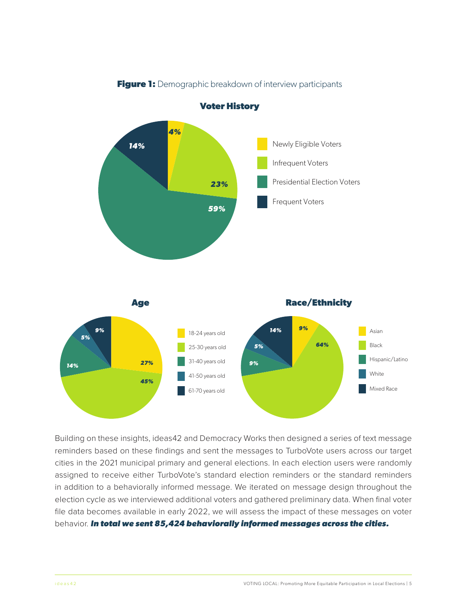

**Figure 1:** Demographic breakdown of interview participants

Building on these insights, ideas42 and Democracy Works then designed a series of text message reminders based on these findings and sent the messages to TurboVote users across our target cities in the 2021 municipal primary and general elections. In each election users were randomly assigned to receive either TurboVote's standard election reminders or the standard reminders in addition to a behaviorally informed message. We iterated on message design throughout the election cycle as we interviewed additional voters and gathered preliminary data. When final voter file data becomes available in early 2022, we will assess the impact of these messages on voter behavior. *In total we sent 85,424 behaviorally informed messages across the cities.*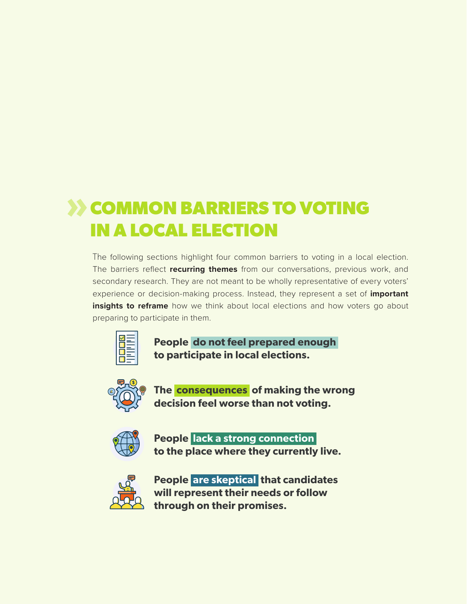# **XX COMMON BARRIERS TO VOTING IN A LOCAL ELECTION**

The following sections highlight four common barriers to voting in a local election. The barriers reflect **recurring themes** from our conversations, previous work, and secondary research. They are not meant to be wholly representative of every voters' experience or decision-making process. Instead, they represent a set of **important insights to reframe** how we think about local elections and how voters go about preparing to participate in them.



**People do not feel prepared enough to participate in local elections.**



**The consequences of making the wrong decision feel worse than not voting.**



**People lack a strong connection to the place where they currently live.**



**People are skeptical that candidates will represent their needs or follow through on their promises.**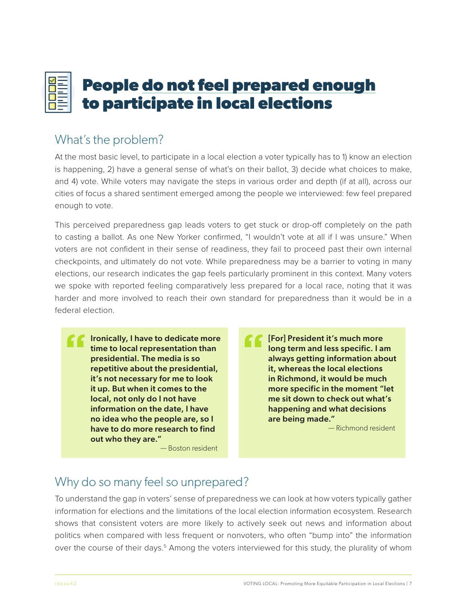# <span id="page-7-0"></span>**People do not feel prepared enough to participate in local elections**

# What's the problem?

At the most basic level, to participate in a local election a voter typically has to 1) know an election is happening, 2) have a general sense of what's on their ballot, 3) decide what choices to make, and 4) vote. While voters may navigate the steps in various order and depth (if at all), across our cities of focus a shared sentiment emerged among the people we interviewed: few feel prepared enough to vote.

This perceived preparedness gap leads voters to get stuck or drop-off completely on the path to casting a ballot. As one New Yorker confirmed, "I wouldn't vote at all if I was unsure." When voters are not confident in their sense of readiness, they fail to proceed past their own internal checkpoints, and ultimately do not vote. While preparedness may be a barrier to voting in many elections, our research indicates the gap feels particularly prominent in this context. Many voters we spoke with reported feeling comparatively less prepared for a local race, noting that it was harder and more involved to reach their own standard for preparedness than it would be in a federal election.

Ironically, I have to dedicate more time to local representation than presidential. The media is so repetitive about the presidential, it's not necessary for me to look it up. But when it comes to the local, not only do I not have information on the date, I have no idea who the people are, so I have to do more research to find out who they are."

— Boston resident

[For] President it's much more long term and less specific. I am always getting information about it, whereas the local elections in Richmond, it would be much more specific in the moment "let me sit down to check out what's happening and what decisions are being made."

— Richmond resident

# Why do so many feel so unprepared?

To understand the gap in voters' sense of preparedness we can look at how voters typically gather information for elections and the limitations of the local election information ecosystem. Research shows that consistent voters are more likely to actively seek out news and information about politics when compared with less frequent or nonvoters, who often "bump into" the information over the course of their days.<sup>[5](#page-24-0)</sup> Among the voters interviewed for this study, the plurality of whom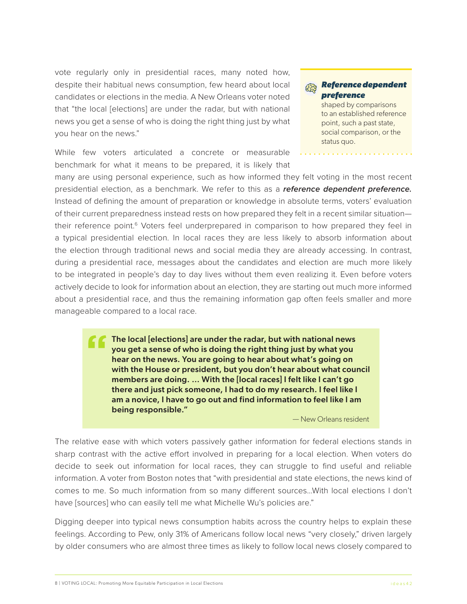<span id="page-8-0"></span>vote regularly only in presidential races, many noted how, despite their habitual news consumption, few heard about local candidates or elections in the media. A New Orleans voter noted that "the local [elections] are under the radar, but with national news you get a sense of who is doing the right thing just by what you hear on the news."

While few voters articulated a concrete or measurable benchmark for what it means to be prepared, it is likely that

#### *Reference dependent*  经习 *preference*

shaped by comparisons to an established reference point, such a past state, social comparison, or the status quo.

many are using personal experience, such as how informed they felt voting in the most recent presidential election, as a benchmark. We refer to this as a *reference dependent preference.* Instead of defining the amount of preparation or knowledge in absolute terms, voters' evaluation of their current preparedness instead rests on how prepared they felt in a recent similar situation their reference point.<sup>6</sup> Voters feel underprepared in comparison to how prepared they feel in a typical presidential election. In local races they are less likely to absorb information about the election through traditional news and social media they are already accessing. In contrast, during a presidential race, messages about the candidates and election are much more likely to be integrated in people's day to day lives without them even realizing it. Even before voters actively decide to look for information about an election, they are starting out much more informed about a presidential race, and thus the remaining information gap often feels smaller and more manageable compared to a local race.

> The local [elections] are under the radar, but with national news you get a sense of who is doing the right thing just by what you hear on the news. You are going to hear about what's going on with the House or president, but you don't hear about what council members are doing. … With the [local races] I felt like I can't go there and just pick someone, I had to do my research. I feel like I am a novice, I have to go out and find information to feel like I am being responsible."

> > — New Orleans resident

The relative ease with which voters passively gather information for federal elections stands in sharp contrast with the active effort involved in preparing for a local election. When voters do decide to seek out information for local races, they can struggle to find useful and reliable information. A voter from Boston notes that "with presidential and state elections, the news kind of comes to me. So much information from so many different sources…With local elections I don't have [sources] who can easily tell me what Michelle Wu's policies are."

Digging deeper into typical news consumption habits across the country helps to explain these feelings. According to Pew, only 31% of Americans follow local news "very closely," driven largely by older consumers who are almost three times as likely to follow local news closely compared to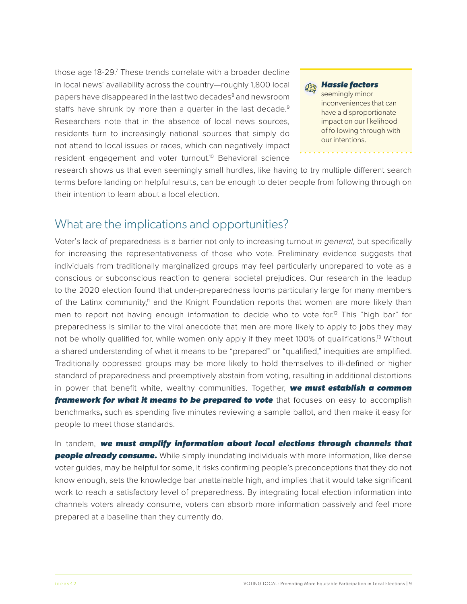<span id="page-9-0"></span>those age 18-29.<sup>7</sup> These trends correlate with a broader decline in local news' availability across the country—roughly 1,800 local papers have disappeared in the last two decades<sup>[8](#page-24-0)</sup> and newsroom staffs have shrunk by more than a quarter in the last decade.<sup>9</sup> Researchers note that in the absence of local news sources, residents turn to increasingly national sources that simply do not attend to local issues or races, which can negatively impact resident engagement and voter turnout.<sup>10</sup> Behavioral science



research shows us that even seemingly small hurdles, like having to try multiple different search terms before landing on helpful results, can be enough to deter people from following through on their intention to learn about a local election.

### What are the implications and opportunities?

Voter's lack of preparedness is a barrier not only to increasing turnout *in general,* but specifically for increasing the representativeness of those who vote. Preliminary evidence suggests that individuals from traditionally marginalized groups may feel particularly unprepared to vote as a conscious or subconscious reaction to general societal prejudices. Our research in the leadup to the 2020 election found that under-preparedness looms particularly large for many members of the Latinx community,<sup>11</sup> and the Knight Foundation reports that women are more likely than men to report not having enough information to decide who to vote for.<sup>12</sup> This "high bar" for preparedness is similar to the viral anecdote that men are more likely to apply to jobs they may not be wholly qualified for, while women only apply if they meet 100% of qualifications.<sup>13</sup> Without a shared understanding of what it means to be "prepared" or "qualified," inequities are amplified. Traditionally oppressed groups may be more likely to hold themselves to ill-defined or higher standard of preparedness and preemptively abstain from voting, resulting in additional distortions in power that benefit white, wealthy communities. Together, *we must establish a common*  **framework for what it means to be prepared to vote** that focuses on easy to accomplish benchmarks**,** such as spending five minutes reviewing a sample ballot, and then make it easy for people to meet those standards.

In tandem, *we must amplify information about local elections through channels that*  **people already consume.** While simply inundating individuals with more information, like dense voter guides, may be helpful for some, it risks confirming people's preconceptions that they do not know enough, sets the knowledge bar unattainable high, and implies that it would take significant work to reach a satisfactory level of preparedness. By integrating local election information into channels voters already consume, voters can absorb more information passively and feel more prepared at a baseline than they currently do.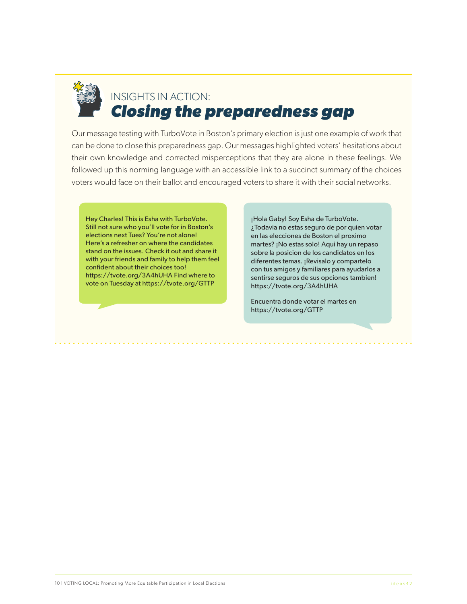

# INSIGHTS IN ACTION: *Closing the preparedness gap*

Our message testing with TurboVote in Boston's primary election is just one example of work that can be done to close this preparedness gap. Our messages highlighted voters' hesitations about their own knowledge and corrected misperceptions that they are alone in these feelings. We followed up this norming language with an accessible link to a succinct summary of the choices voters would face on their ballot and encouraged voters to share it with their social networks.

Hey Charles! This is Esha with TurboVote. Still not sure who you'll vote for in Boston's elections next Tues? You're not alone! Here's a refresher on where the candidates stand on the issues. Check it out and share it with your friends and family to help them feel confident about their choices too! https://tvote.org/3A4hUHA Find where to vote on Tuesday at https://tvote.org/GTTP

¡Hola Gaby! Soy Esha de TurboVote. ¿Todavia no estas seguro de por quien votar en las elecciones de Boston el proximo martes? ¡No estas solo! Aqui hay un repaso sobre la posicion de los candidatos en los diferentes temas. ¡Revisalo y compartelo con tus amigos y familiares para ayudarlos a sentirse seguros de sus opciones tambien! https://tvote.org/3A4hUHA

Encuentra donde votar el martes en https://tvote.org/GTTP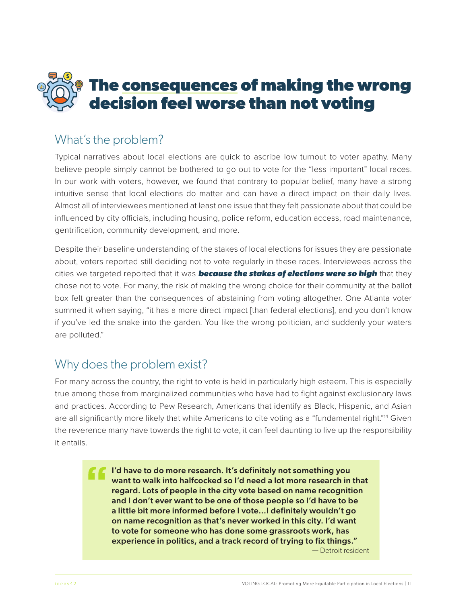<span id="page-11-0"></span>

### What's the problem?

Typical narratives about local elections are quick to ascribe low turnout to voter apathy. Many believe people simply cannot be bothered to go out to vote for the "less important" local races. In our work with voters, however, we found that contrary to popular belief, many have a strong intuitive sense that local elections do matter and can have a direct impact on their daily lives. Almost all of interviewees mentioned at least one issue that they felt passionate about that could be influenced by city officials, including housing, police reform, education access, road maintenance, gentrification, community development, and more.

Despite their baseline understanding of the stakes of local elections for issues they are passionate about, voters reported still deciding not to vote regularly in these races. Interviewees across the cities we targeted reported that it was *because the stakes of elections were so high* that they chose not to vote. For many, the risk of making the wrong choice for their community at the ballot box felt greater than the consequences of abstaining from voting altogether. One Atlanta voter summed it when saying, "it has a more direct impact [than federal elections], and you don't know if you've led the snake into the garden. You like the wrong politician, and suddenly your waters are polluted."

## Why does the problem exist?

For many across the country, the right to vote is held in particularly high esteem. This is especially true among those from marginalized communities who have had to fight against exclusionary laws and practices. According to Pew Research, Americans that identify as Black, Hispanic, and Asian are all significantly more likely that white Americans to cite voting as a "fundamental right."[14](#page-24-0) Given the reverence many have towards the right to vote, it can feel daunting to live up the responsibility it entails.

> I'd have to do more research. It's definitely not something you want to walk into halfcocked so I'd need a lot more research in that regard. Lots of people in the city vote based on name recognition and I don't ever want to be one of those people so I'd have to be a little bit more informed before I vote...I definitely wouldn't go on name recognition as that's never worked in this city. I'd want to vote for someone who has done some grassroots work, has experience in politics, and a track record of trying to fix things." — Detroit resident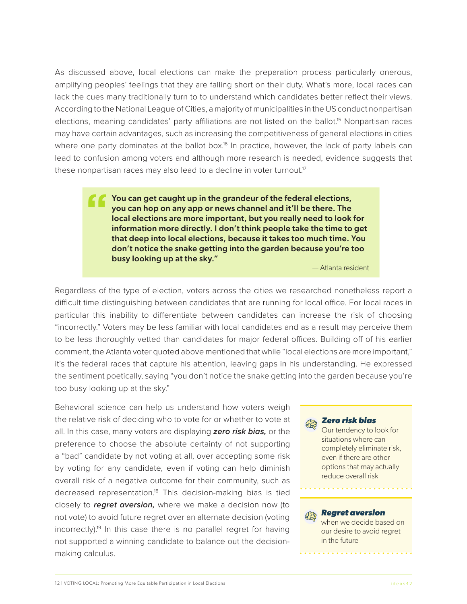<span id="page-12-0"></span>As discussed above, local elections can make the preparation process particularly onerous, amplifying peoples' feelings that they are falling short on their duty. What's more, local races can lack the cues many traditionally turn to to understand which candidates better reflect their views. According to the National League of Cities, a majority of municipalities in the US conduct nonpartisan elections, meaning candidates' party affiliations are not listed on the ballot.<sup>15</sup> Nonpartisan races may have certain advantages, such as increasing the competitiveness of general elections in cities where one party dominates at the ballot box.<sup>16</sup> In practice, however, the lack of party labels can lead to confusion among voters and although more research is needed, evidence suggests that these nonpartisan races may also lead to a decline in voter turnout.<sup>17</sup>

> You can get caught up in the grandeur of the federal elections, you can hop on any app or news channel and it'll be there. The local elections are more important, but you really need to look for information more directly. I don't think people take the time to get that deep into local elections, because it takes too much time. You don't notice the snake getting into the garden because you're too busy looking up at the sky."

> > — Atlanta resident

Regardless of the type of election, voters across the cities we researched nonetheless report a difficult time distinguishing between candidates that are running for local office. For local races in particular this inability to differentiate between candidates can increase the risk of choosing "incorrectly." Voters may be less familiar with local candidates and as a result may perceive them to be less thoroughly vetted than candidates for major federal offices. Building off of his earlier comment, the Atlanta voter quoted above mentioned that while "local elections are more important," it's the federal races that capture his attention, leaving gaps in his understanding. He expressed the sentiment poetically, saying "you don't notice the snake getting into the garden because you're too busy looking up at the sky."

Behavioral science can help us understand how voters weigh the relative risk of deciding who to vote for or whether to vote at all. In this case, many voters are displaying *zero risk bias,* or the preference to choose the absolute certainty of not supporting a "bad" candidate by not voting at all, over accepting some risk by voting for any candidate, even if voting can help diminish overall risk of a negative outcome for their community, such as decreased representation[.18](#page-24-0) This decision-making bias is tied closely to *regret aversion,* where we make a decision now (to not vote) to avoid future regret over an alternate decision (voting  $incorrect|v|$ .<sup>19</sup> In this case there is no parallel regret for having not supported a winning candidate to balance out the decisionmaking calculus.

#### *Zero risk bias* 经习

Our tendency to look for situations where can completely eliminate risk, even if there are other options that may actually reduce overall risk

#### *Regret aversion*

when we decide based on our desire to avoid regret in the future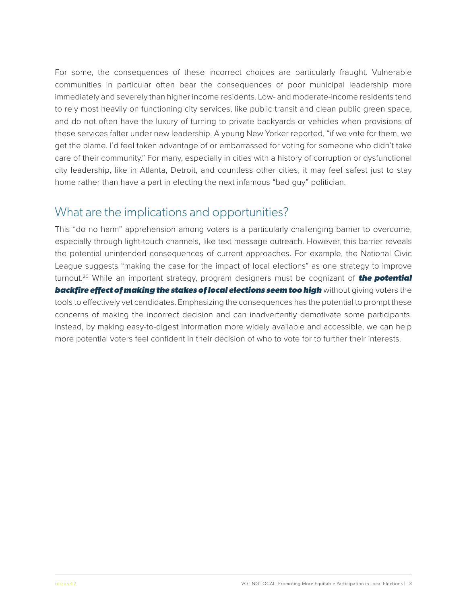<span id="page-13-0"></span>For some, the consequences of these incorrect choices are particularly fraught. Vulnerable communities in particular often bear the consequences of poor municipal leadership more immediately and severely than higher income residents. Low- and moderate-income residents tend to rely most heavily on functioning city services, like public transit and clean public green space, and do not often have the luxury of turning to private backyards or vehicles when provisions of these services falter under new leadership. A young New Yorker reported, "if we vote for them, we get the blame. I'd feel taken advantage of or embarrassed for voting for someone who didn't take care of their community." For many, especially in cities with a history of corruption or dysfunctional city leadership, like in Atlanta, Detroit, and countless other cities, it may feel safest just to stay home rather than have a part in electing the next infamous "bad guy" politician.

## What are the implications and opportunities?

This "do no harm" apprehension among voters is a particularly challenging barrier to overcome, especially through light-touch channels, like text message outreach. However, this barrier reveals the potential unintended consequences of current approaches. For example, the National Civic League suggests "making the case for the impact of local elections" as one strategy to improve turnout[.20](#page-24-0) While an important strategy, program designers must be cognizant of *the potential backfire effect of making the stakes of local elections seem too high* without giving voters the tools to effectively vet candidates. Emphasizing the consequences has the potential to prompt these concerns of making the incorrect decision and can inadvertently demotivate some participants. Instead, by making easy-to-digest information more widely available and accessible, we can help more potential voters feel confident in their decision of who to vote for to further their interests.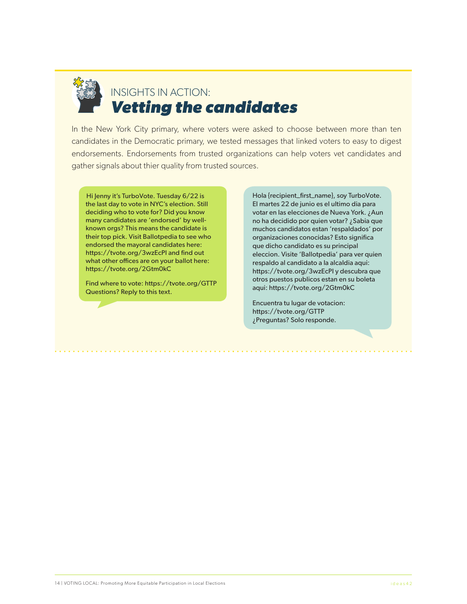

# INSIGHTS IN ACTION: *Vetting the candidates*

In the New York City primary, where voters were asked to choose between more than ten candidates in the Democratic primary, we tested messages that linked voters to easy to digest endorsements. Endorsements from trusted organizations can help voters vet candidates and gather signals about thier quality from trusted sources.

Hi Jenny it's TurboVote. Tuesday 6/22 is the last day to vote in NYC's election. Still deciding who to vote for? Did you know many candidates are 'endorsed' by wellknown orgs? This means the candidate is their top pick. Visit Ballotpedia to see who endorsed the mayoral candidates here: https://tvote.org/3wzEcPI and find out what other offices are on your ballot here: https://tvote.org/2Gtm0kC

Find where to vote: https://tvote.org/GTTP Questions? Reply to this text.

Hola {recipient\_first\_name}, soy TurboVote. El martes 22 de junio es el ultimo dia para votar en las elecciones de Nueva York. ¿Aun no ha decidido por quien votar? ¿Sabia que muchos candidatos estan 'respaldados' por organizaciones conocidas? Esto significa que dicho candidato es su principal eleccion. Visite 'Ballotpedia' para ver quien respaldo al candidato a la alcaldia aqui: https://tvote.org/3wzEcPI y descubra que otros puestos publicos estan en su boleta aqui: https://tvote.org/2Gtm0kC

Encuentra tu lugar de votacion: https://tvote.org/GTTP ¿Preguntas? Solo responde.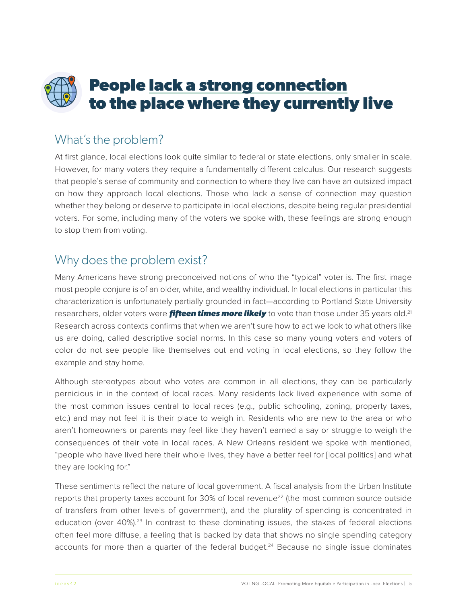# <span id="page-15-0"></span>**People lack a strong connection to the place where they currently live**

# What's the problem?

At first glance, local elections look quite similar to federal or state elections, only smaller in scale. However, for many voters they require a fundamentally different calculus. Our research suggests that people's sense of community and connection to where they live can have an outsized impact on how they approach local elections. Those who lack a sense of connection may question whether they belong or deserve to participate in local elections, despite being regular presidential voters. For some, including many of the voters we spoke with, these feelings are strong enough to stop them from voting.

## Why does the problem exist?

Many Americans have strong preconceived notions of who the "typical" voter is. The first image most people conjure is of an older, white, and wealthy individual. In local elections in particular this characterization is unfortunately partially grounded in fact—according to Portland State University researchers, older voters were *fifteen times more likely* to vote than those under 35 years old.<sup>21</sup> Research across contexts confirms that when we aren't sure how to act we look to what others like us are doing, called descriptive social norms. In this case so many young voters and voters of color do not see people like themselves out and voting in local elections, so they follow the example and stay home.

Although stereotypes about who votes are common in all elections, they can be particularly pernicious in in the context of local races. Many residents lack lived experience with some of the most common issues central to local races (e.g., public schooling, zoning, property taxes, etc.) and may not feel it is their place to weigh in. Residents who are new to the area or who aren't homeowners or parents may feel like they haven't earned a say or struggle to weigh the consequences of their vote in local races. A New Orleans resident we spoke with mentioned, "people who have lived here their whole lives, they have a better feel for [local politics] and what they are looking for."

These sentiments reflect the nature of local government. A fiscal analysis from the Urban Institute reports that property taxes account for 30% of local revenue<sup>22</sup> (the most common source outside of transfers from other levels of government), and the plurality of spending is concentrated in education (over 40%).<sup>23</sup> In contrast to these dominating issues, the stakes of federal elections often feel more diffuse, a feeling that is backed by data that shows no single spending category accounts for more than a quarter of the federal budget.<sup>24</sup> Because no single issue dominates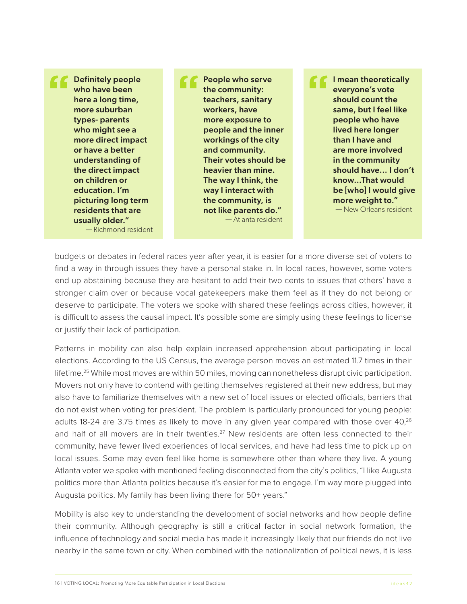<span id="page-16-0"></span>Definitely people who have been here a long time, more suburban types- parents who might see a more direct impact or have a better understanding of the direct impact on children or education. I'm picturing long term residents that are usually older." — Richmond resident

People who serve the community: teachers, sanitary workers, have more exposure to people and the inner workings of the city and community. Their votes should be heavier than mine. The way I think, the way I interact with the community, is not like parents do." — Atlanta resident

I mean theoretically everyone's vote should count the same, but I feel like people who have lived here longer than I have and are more involved in the community should have… I don't know...That would be [who] I would give more weight to."

— New Orleans resident

budgets or debates in federal races year after year, it is easier for a more diverse set of voters to find a way in through issues they have a personal stake in. In local races, however, some voters end up abstaining because they are hesitant to add their two cents to issues that others' have a stronger claim over or because vocal gatekeepers make them feel as if they do not belong or deserve to participate. The voters we spoke with shared these feelings across cities, however, it is difficult to assess the causal impact. It's possible some are simply using these feelings to license or justify their lack of participation.

Patterns in mobility can also help explain increased apprehension about participating in local elections. According to the US Census, the average person moves an estimated 11.7 times in their lifetime.<sup>25</sup> While most moves are within 50 miles, moving can nonetheless disrupt civic participation. Movers not only have to contend with getting themselves registered at their new address, but may also have to familiarize themselves with a new set of local issues or elected officials, barriers that do not exist when voting for president. The problem is particularly pronounced for young people: adults 18-24 are 3.75 times as likely to move in any given year compared with those over 40,<sup>26</sup> and half of all movers are in their twenties.<sup>[27](#page-25-0)</sup> New residents are often less connected to their community, have fewer lived experiences of local services, and have had less time to pick up on local issues. Some may even feel like home is somewhere other than where they live. A young Atlanta voter we spoke with mentioned feeling disconnected from the city's politics, "I like Augusta politics more than Atlanta politics because it's easier for me to engage. I'm way more plugged into Augusta politics. My family has been living there for 50+ years."

Mobility is also key to understanding the development of social networks and how people define their community. Although geography is still a critical factor in social network formation, the influence of technology and social media has made it increasingly likely that our friends do not live nearby in the same town or city. When combined with the nationalization of political news, it is less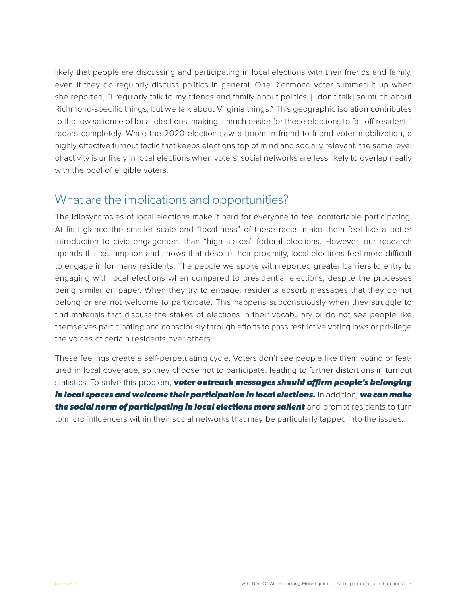likely that people are discussing and participating in local elections with their friends and family, even if they do regularly discuss politics in general. One Richmond voter summed it up when she reported, "I regularly talk to my friends and family about politics. [I don't talk] so much about Richmond-specific things, but we talk about Virginia things." This geographic isolation contributes to the low salience of local elections, making it much easier for these elections to fall off residents' radars completely. While the 2020 election saw a boom in friend-to-friend voter mobilization, a highly effective turnout tactic that keeps elections top of mind and socially relevant, the same level of activity is unlikely in local elections when voters' social networks are less likely to overlap neatly with the pool of eligible voters.

### What are the implications and opportunities?

The idiosyncrasies of local elections make it hard for everyone to feel comfortable participating. At first glance the smaller scale and "local-ness" of these races make them feel like a better introduction to civic engagement than "high stakes" federal elections. However, our research upends this assumption and shows that despite their proximity, local elections feel more difficult to engage in for many residents. The people we spoke with reported greater barriers to entry to engaging with local elections when compared to presidential elections, despite the processes being similar on paper. When they try to engage, residents absorb messages that they do not belong or are not welcome to participate. This happens subconsciously when they struggle to find materials that discuss the stakes of elections in their vocabulary or do not see people like themselves participating and consciously through efforts to pass restrictive voting laws or privilege the voices of certain residents over others.

These feelings create a self-perpetuating cycle. Voters don't see people like them voting or featured in local coverage, so they choose not to participate, leading to further distortions in turnout statistics. To solve this problem, *voter outreach messages should affirm people's belonging in local spaces and welcome their participation in local elections.* In addition, *we can make the social norm of participating in local elections more salient* and prompt residents to turn to micro influencers within their social networks that may be particularly tapped into the issues.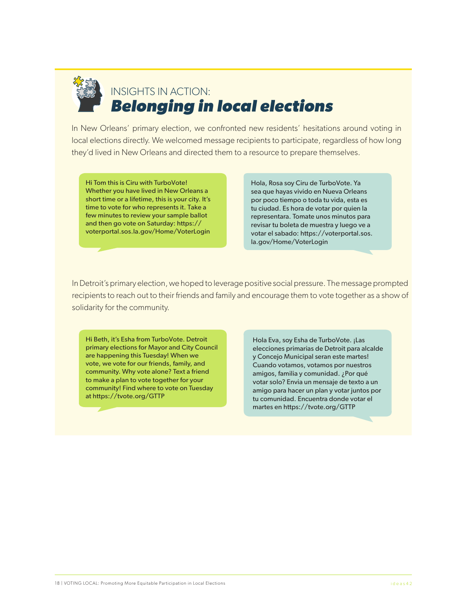

# INSIGHTS IN ACTION: *Belonging in local elections*

In New Orleans' primary election, we confronted new residents' hesitations around voting in local elections directly. We welcomed message recipients to participate, regardless of how long they'd lived in New Orleans and directed them to a resource to prepare themselves.

Hi Tom this is Ciru with TurboVote! Whether you have lived in New Orleans a short time or a lifetime, this is your city. It's time to vote for who represents it. Take a few minutes to review your sample ballot and then go vote on Saturday: https:// voterportal.sos.la.gov/Home/VoterLogin

Hola, Rosa soy Ciru de TurboVote. Ya sea que hayas vivido en Nueva Orleans por poco tiempo o toda tu vida, esta es tu ciudad. Es hora de votar por quien la representara. Tomate unos minutos para revisar tu boleta de muestra y luego ve a votar el sabado: https://voterportal.sos. la.gov/Home/VoterLogin

In Detroit's primary election, we hoped to leverage positive social pressure. The message prompted recipients to reach out to their friends and family and encourage them to vote together as a show of solidarity for the community.

Hi Beth, it's Esha from TurboVote. Detroit primary elections for Mayor and City Council are happening this Tuesday! When we vote, we vote for our friends, family, and community. Why vote alone? Text a friend to make a plan to vote together for your community! Find where to vote on Tuesday at https://tvote.org/GTTP

Hola Eva, soy Esha de TurboVote. ¡Las elecciones primarias de Detroit para alcalde y Concejo Municipal seran este martes! Cuando votamos, votamos por nuestros amigos, familia y comunidad. ¿Por qué votar solo? Envia un mensaje de texto a un amigo para hacer un plan y votar juntos por tu comunidad. Encuentra donde votar el martes en https://tvote.org/GTTP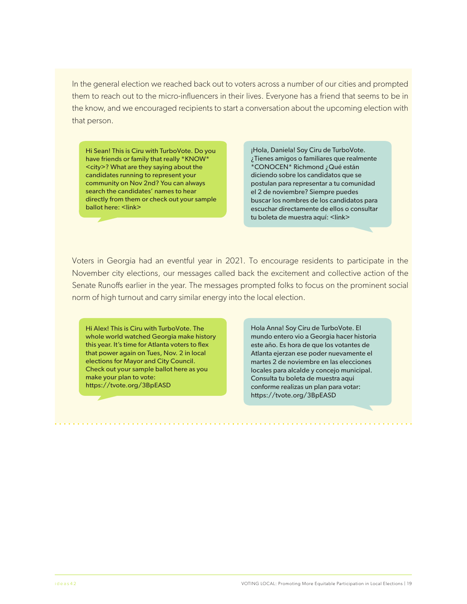In the general election we reached back out to voters across a number of our cities and prompted them to reach out to the micro-influencers in their lives. Everyone has a friend that seems to be in the know, and we encouraged recipients to start a conversation about the upcoming election with that person.

Hi Sean! This is Ciru with TurboVote. Do you have friends or family that really \*KNOW\* <city>? What are they saying about the candidates running to represent your community on Nov 2nd? You can always search the candidates' names to hear directly from them or check out your sample ballot here: <link>

¡Hola, Daniela! Soy Ciru de TurboVote. ¿Tienes amigos o familiares que realmente \*CONOCEN\* Richmond ¿Qué están diciendo sobre los candidatos que se postulan para representar a tu comunidad el 2 de noviembre? Siempre puedes buscar los nombres de los candidatos para escuchar directamente de ellos o consultar tu boleta de muestra aquí: <link>

Voters in Georgia had an eventful year in 2021. To encourage residents to participate in the November city elections, our messages called back the excitement and collective action of the Senate Runoffs earlier in the year. The messages prompted folks to focus on the prominent social norm of high turnout and carry similar energy into the local election.

Hi Alex! This is Ciru with TurboVote. The whole world watched Georgia make history this year. It's time for Atlanta voters to flex that power again on Tues, Nov. 2 in local elections for Mayor and City Council. Check out your sample ballot here as you make your plan to vote: https://tvote.org/3BpEASD

Hola Anna! Soy Ciru de TurboVote. El mundo entero vio a Georgia hacer historia este año. Es hora de que los votantes de Atlanta ejerzan ese poder nuevamente el martes 2 de noviembre en las elecciones locales para alcalde y concejo municipal. Consulta tu boleta de muestra aqui conforme realizas un plan para votar: https://tvote.org/3BpEASD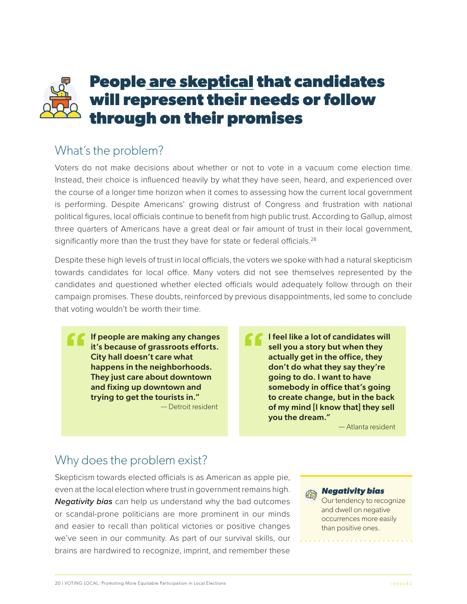# <span id="page-20-0"></span>**People are skeptical that candidates will represent their needs or follow through on their promises**

# What's the problem?

Voters do not make decisions about whether or not to vote in a vacuum come election time. Instead, their choice is influenced heavily by what they have seen, heard, and experienced over the course of a longer time horizon when it comes to assessing how the current local government is performing. Despite Americans' growing distrust of Congress and frustration with national political figures, local officials continue to benefit from high public trust. According to Gallup, almost three quarters of Americans have a great deal or fair amount of trust in their local government, significantly more than the trust they have for state or federal officials.<sup>[28](#page-25-0)</sup>

Despite these high levels of trust in local officials, the voters we spoke with had a natural skepticism towards candidates for local office. Many voters did not see themselves represented by the candidates and questioned whether elected officials would adequately follow through on their campaign promises. These doubts, reinforced by previous disappointments, led some to conclude that voting wouldn't be worth their time.

If people are making any changes it's because of grassroots efforts. City hall doesn't care what happens in the neighborhoods. They just care about downtown and fixing up downtown and trying to get the tourists in." — Detroit resident

I feel like a lot of candidates will sell you a story but when they actually get in the office, they don't do what they say they're going to do. I want to have somebody in office that's going to create change, but in the back of my mind [I know that] they sell you the dream."

— Atlanta resident

# Why does the problem exist?

Skepticism towards elected officials is as American as apple pie, even at the local election where trust in government remains high. *Negativity bias* can help us understand why the bad outcomes or scandal-prone politicians are more prominent in our minds and easier to recall than political victories or positive changes we've seen in our community. As part of our survival skills, our brains are hardwired to recognize, imprint, and remember these

### *Negativity bias*

Our tendency to recognize and dwell on negative occurrences more easily than positive ones.

<u>. . . . . . . . . . . . . . . . . .</u>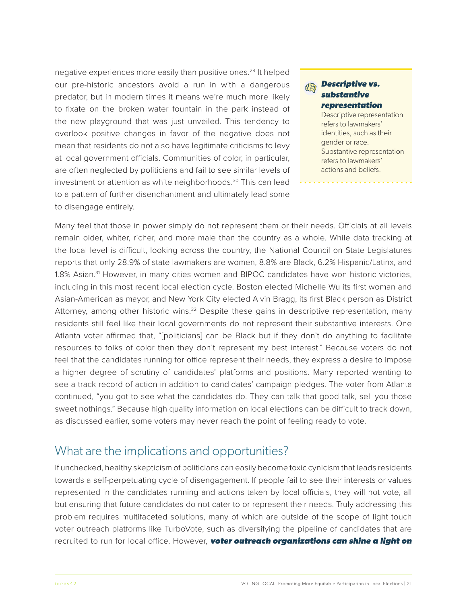<span id="page-21-0"></span>negative experiences more easily than positive ones.<sup>29</sup> It helped our pre-historic ancestors avoid a run in with a dangerous predator, but in modern times it means we're much more likely to fixate on the broken water fountain in the park instead of the new playground that was just unveiled. This tendency to overlook positive changes in favor of the negative does not mean that residents do not also have legitimate criticisms to levy at local government officials. Communities of color, in particular, are often neglected by politicians and fail to see similar levels of investment or attention as white neighborhoods.<sup>30</sup> This can lead to a pattern of further disenchantment and ultimately lead some to disengage entirely.

#### *Descriptive vs.*  经 *substantive representation*

Descriptive representation refers to lawmakers' identities, such as their gender or race. Substantive representation refers to lawmakers' actions and beliefs.

Many feel that those in power simply do not represent them or their needs. Officials at all levels remain older, whiter, richer, and more male than the country as a whole. While data tracking at the local level is difficult, looking across the country, the National Council on State Legislatures reports that only 28.9% of state lawmakers are women, 8.8% are Black, 6.2% Hispanic/Latinx, and 1.8% Asian.<sup>31</sup> However, in many cities women and BIPOC candidates have won historic victories, including in this most recent local election cycle. Boston elected Michelle Wu its first woman and Asian-American as mayor, and New York City elected Alvin Bragg, its first Black person as District Attorney, among other historic wins.<sup>32</sup> Despite these gains in descriptive representation, many residents still feel like their local governments do not represent their substantive interests. One Atlanta voter affirmed that, "[politicians] can be Black but if they don't do anything to facilitate resources to folks of color then they don't represent my best interest." Because voters do not feel that the candidates running for office represent their needs, they express a desire to impose a higher degree of scrutiny of candidates' platforms and positions. Many reported wanting to see a track record of action in addition to candidates' campaign pledges. The voter from Atlanta continued, "you got to see what the candidates do. They can talk that good talk, sell you those sweet nothings." Because high quality information on local elections can be difficult to track down, as discussed earlier, some voters may never reach the point of feeling ready to vote.

### What are the implications and opportunities?

If unchecked, healthy skepticism of politicians can easily become toxic cynicism that leads residents towards a self-perpetuating cycle of disengagement. If people fail to see their interests or values represented in the candidates running and actions taken by local officials, they will not vote, all but ensuring that future candidates do not cater to or represent their needs. Truly addressing this problem requires multifaceted solutions, many of which are outside of the scope of light touch voter outreach platforms like TurboVote, such as diversifying the pipeline of candidates that are recruited to run for local office. However, *voter outreach organizations can shine a light on*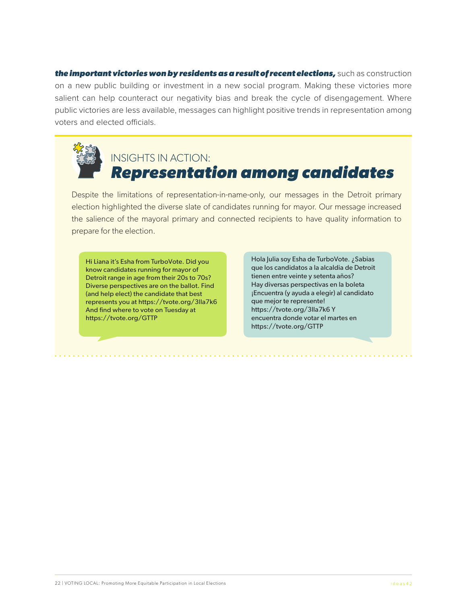*the important victories won by residents as a result of recent elections,* such as construction on a new public building or investment in a new social program. Making these victories more salient can help counteract our negativity bias and break the cycle of disengagement. Where public victories are less available, messages can highlight positive trends in representation among voters and elected officials.



# INSIGHTS IN ACTION: *Representation among candidates*

Despite the limitations of representation-in-name-only, our messages in the Detroit primary election highlighted the diverse slate of candidates running for mayor. Our message increased the salience of the mayoral primary and connected recipients to have quality information to prepare for the election.

Hi Liana it's Esha from TurboVote. Did you know candidates running for mayor of Detroit range in age from their 20s to 70s? Diverse perspectives are on the ballot. Find (and help elect) the candidate that best represents you at https://tvote.org/3lla7k6 And find where to vote on Tuesday at https://tvote.org/GTTP

Hola Julia soy Esha de TurboVote. ¿Sabias que los candidatos a la alcaldia de Detroit tienen entre veinte y setenta años? Hay diversas perspectivas en la boleta ¡Encuentra (y ayuda a elegir) al candidato que mejor te represente! https://tvote.org/3lla7k6 Y encuentra donde votar el martes en https://tvote.org/GTTP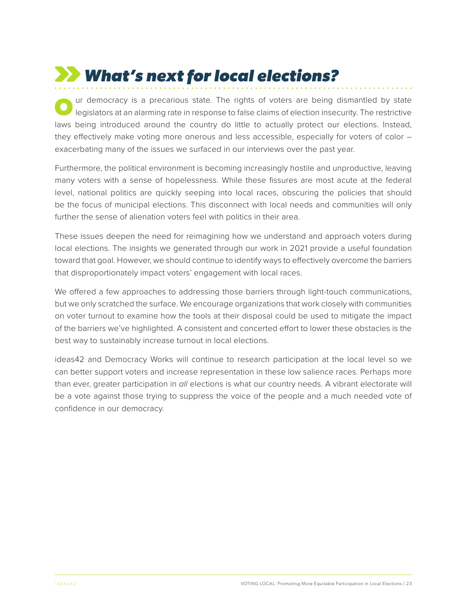# *What's next for local elections?*

ur democracy is a precarious state. The rights of voters are being dismantled by state legislators at an alarming rate in response to false claims of election insecurity. The restrictive laws being introduced around the country do little to actually protect our elections. Instead, they effectively make voting more onerous and less accessible, especially for voters of color – exacerbating many of the issues we surfaced in our interviews over the past year.

Furthermore, the political environment is becoming increasingly hostile and unproductive, leaving many voters with a sense of hopelessness. While these fissures are most acute at the federal level, national politics are quickly seeping into local races, obscuring the policies that should be the focus of municipal elections. This disconnect with local needs and communities will only further the sense of alienation voters feel with politics in their area.

These issues deepen the need for reimagining how we understand and approach voters during local elections. The insights we generated through our work in 2021 provide a useful foundation toward that goal. However, we should continue to identify ways to effectively overcome the barriers that disproportionately impact voters' engagement with local races.

We offered a few approaches to addressing those barriers through light-touch communications, but we only scratched the surface. We encourage organizations that work closely with communities on voter turnout to examine how the tools at their disposal could be used to mitigate the impact of the barriers we've highlighted. A consistent and concerted effort to lower these obstacles is the best way to sustainably increase turnout in local elections.

ideas42 and Democracy Works will continue to research participation at the local level so we can better support voters and increase representation in these low salience races. Perhaps more than ever, greater participation in *all* elections is what our country needs. A vibrant electorate will be a vote against those trying to suppress the voice of the people and a much needed vote of confidence in our democracy.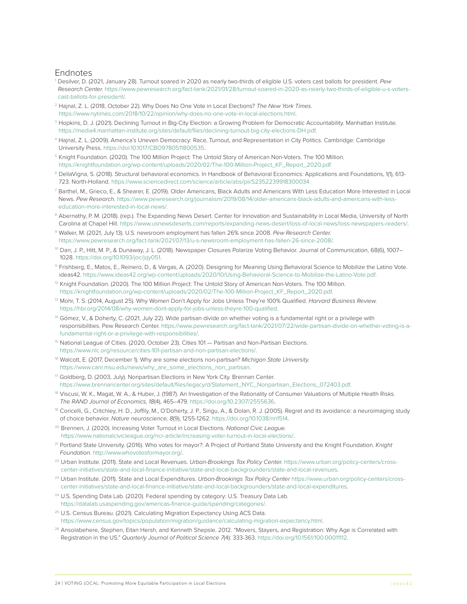#### <span id="page-24-0"></span>Endnotes

- [1](#page-3-0) Desilver, D. (2021, January 28). Turnout soared in 2020 as nearly two-thirds of eligible U.S. voters cast ballots for president. *Pew Research Center.* [https://www.pewresearch.org/fact-tank/2021/01/28/turnout-soared-in-2020-as-nearly-two-thirds-of-eligible-u-s-voters](https://www.pewresearch.org/fact-tank/2021/01/28/turnout-soared-in-2020-as-nearly-two-thirds-of-eligible-u-s-voters-cast-ballots-for-president/)[cast-ballots-for-president/.](https://www.pewresearch.org/fact-tank/2021/01/28/turnout-soared-in-2020-as-nearly-two-thirds-of-eligible-u-s-voters-cast-ballots-for-president/)
- [2](#page-3-0) Hajnal, Z. L. (2018, October 22). Why Does No One Vote in Local Elections? *The New York Times.* <https://www.nytimes.com/2018/10/22/opinion/why-does-no-one-vote-in-local-elections.html>.
- <sup>3</sup> Hopkins, D. J. (2021). Declining Turnout in Big-City Election: a Growing Problem for Democratic Accountability. Manhattan Institute. [https://media4.manhattan-institute.org/sites/default/files/declining-turnout-big-city-elections-DH.pdf.](https://media4.manhattan-institute.org/sites/default/files/declining-turnout-big-city-elections-DH.pdf)
- [4](#page-3-0) Hajnal, Z. L. (2009). America's Uneven Democracy: Race, Turnout, and Representation in City Politics. Cambridge: Cambridge University Press. [https://doi:10.1017/CBO9780511800535.](https://doi:10.1017/CBO9780511800535)
- [5](#page-7-0) Knight Foundation. (2020). The 100 Million Project: The Untold Story of American Non-Voters. The 100 Million. [https://knightfoundation.org/wp-content/uploads/2020/02/The-100-Million-Project\\_KF\\_Report\\_2020.pdf.](https://knightfoundation.org/wp-content/uploads/2020/02/The-100-Million-Project_KF_Report_2020.pdf)
- [6](#page-8-0) DellaVigna, S. (2018). Structural behavioral economics. In Handbook of Behavioral Economics: Applications and Foundations, 1(1), 613- 723. North-Holland. [https://www.sciencedirect.com/science/article/abs/pii/S2352239918300034.](https://www.sciencedirect.com/science/article/abs/pii/S2352239918300034)
- [7](#page-9-0) Barthel, M., Grieco, E., & Shearer, E. (2019). Older Americans, Black Adults and Americans With Less Education More Interested in Local News. *Pew Research.* [https://www.pewresearch.org/journalism/2019/08/14/older-americans-black-adults-and-americans-with-less](https://www.pewresearch.org/journalism/2019/08/14/older-americans-black-adults-and-americans-with-less-education-more-interested-in-local-news/)[education-more-interested-in-local-news/.](https://www.pewresearch.org/journalism/2019/08/14/older-americans-black-adults-and-americans-with-less-education-more-interested-in-local-news/)
- <sup>8</sup> Abernathy, P. M. (2018). (rep.). The Expanding News Desert. Center for Innovation and Sustainability in Local Media, University of North Carolina at Chapel Hill.<https://www.usnewsdeserts.com/reports/expanding-news-desert/loss-of-local-news/loss-newspapers-readers/>.
- [9](#page-9-0) Walker, M. (2021, July 13). U.S. newsroom employment has fallen 26% since 2008. *Pew Research Center.* <https://www.pewresearch.org/fact-tank/2021/07/13/u-s-newsroom-employment-has-fallen-26-since-2008/>.
- [10](#page-9-0) Darr, J. P., Hitt, M. P., & Dunaway, J. L. (2018). Newspaper Closures Polarize Voting Behavior. Journal of Communication, 68(6), 1007– 1028.<https://doi.org/10.1093/joc/jqy051>.
- [11](#page-9-0) Frishberg, E., Matos, E., Reinero, D., & Vargas, A. (2020). Designing for Meaning Using Behavioral Science to Mobilize the Latino Vote. ideas42. <https://www.ideas42.org/wp-content/uploads/2020/10/Using-Behavioral-Science-to-Mobilize-the-Latino-Vote.pdf>.
- $12$  Knight Foundation. (2020). The 100 Million Project: The Untold Story of American Non-Voters. The 100 Million. [https://knightfoundation.org/wp-content/uploads/2020/02/The-100-Million-Project\\_KF\\_Report\\_2020.pdf](https://knightfoundation.org/wp-content/uploads/2020/02/The-100-Million-Project_KF_Report_2020.pdf).
- [13](#page-9-0) Mohr, T. S. (2014, August 25). Why Women Don't Apply for Jobs Unless They're 100% Qualified. *Harvard Business Review.* <https://hbr.org/2014/08/why-women-dont-apply-for-jobs-unless-theyre-100-qualified>.
- <sup>[14](#page-11-0)</sup> Gómez, V., & Doherty, C. (2021, July 22). Wide partisan divide on whether voting is a fundamental right or a privilege with responsibilities. Pew Research Center. [https://www.pewresearch.org/fact-tank/2021/07/22/wide-partisan-divide-on-whether-voting-is-a](https://www.pewresearch.org/fact-tank/2021/07/22/wide-partisan-divide-on-whether-voting-is-a-fundamental-right-or-a-privilege-with-responsibilities/)[fundamental-right-or-a-privilege-with-responsibilities/.](https://www.pewresearch.org/fact-tank/2021/07/22/wide-partisan-divide-on-whether-voting-is-a-fundamental-right-or-a-privilege-with-responsibilities/)
- [15](#page-12-0) National League of Cities. (2020, October 23). Cities 101 Partisan and Non-Partisan Elections. <https://www.nlc.org/resource/cities-101-partisan-and-non-partisan-elections/>.
- [16](#page-12-0) Walcott, E. (2017, December 1). Why are some elections non-partisan? *Michigan State University.*  [https://www.canr.msu.edu/news/why\\_are\\_some\\_elections\\_non\\_partisan](https://www.canr.msu.edu/news/why_are_some_elections_non_partisan).
- <sup>17</sup> Goldberg, D. (2003, July). Nonpartisan Elections in New York City. Brennan Center. [https://www.brennancenter.org/sites/default/files/legacy/d/Statement\\_NYC\\_Nonpartisan\\_Elections\\_072403.pdf](https://www.brennancenter.org/sites/default/files/legacy/d/Statement_NYC_Nonpartisan_Elections_072403.pdf).
- [18](#page-12-0) Viscusi, W. K., Magat, W. A., & Huber, J. (1987). An Investigation of the Rationality of Consumer Valuations of Multiple Health Risks. *The RAND Journal of Economics, 18*(4), 465–479. [https://doi.org/10.2307/2555636.](https://doi.org/10.2307/2555636)
- [19](#page-12-0) Coricelli, G., Critchley, H. D., Joffily, M., O'Doherty, J. P., Sirigu, A., & Dolan, R. J. (2005). Regret and its avoidance: a neuroimaging study of choice behavior. *Nature neuroscience, 8*(9), 1255-1262.<https://doi.org/10.1038/nn1514>.
- [20](#page-13-0) Brennen, J. (2020). Increasing Voter Turnout in Local Elections. *National Civic League.*  <https://www.nationalcivicleague.org/ncr-article/increasing-voter-turnout-in-local-elections/>.
- [21](#page-15-0) Portland State University. (2016). Who votes for mayor?: A Project of Portland State University and the Knight Foundation. *Knight Foundation.* [http://www.whovotesformayor.org/.](http://www.whovotesformayor.org/)
- [22](#page-15-0) Urban Institute. (2011). State and Local Revenues. *Urban-Brookings Tax Policy Center.* [https://www.urban.org/policy-centers/cross](https://www.urban.org/policy-centers/cross-center-initiatives/state-and-local-finance-initiative/state-and-local-backgrounders/state-and-local-revenues)[center-initiatives/state-and-local-finance-initiative/state-and-local-backgrounders/state-and-local-revenues](https://www.urban.org/policy-centers/cross-center-initiatives/state-and-local-finance-initiative/state-and-local-backgrounders/state-and-local-revenues).
- [23](#page-15-0) Urban Institute. (2011). State and Local Expenditures. *Urban-Brookings Tax Policy Center* [https://www.urban.org/policy-centers/cross](https://www.urban.org/policy-centers/cross-center-initiatives/state-and-local-finance-initiative/state-and-local-backgrounders/state-and-local-expenditures)[center-initiatives/state-and-local-finance-initiative/state-and-local-backgrounders/state-and-local-expenditures](https://www.urban.org/policy-centers/cross-center-initiatives/state-and-local-finance-initiative/state-and-local-backgrounders/state-and-local-expenditures).
- <sup>[24](#page-15-0)</sup> U.S. Spending Data Lab. (2020). Federal spending by category: U.S. Treasury Data Lab. [https://datalab.usaspending.gov/americas-finance-guide/spending/categories/.](https://datalab.usaspending.gov/americas-finance-guide/spending/categories/)
- <sup>[25](#page-16-0)</sup> U.S. Census Bureau. (2021). Calculating Migration Expectancy Using ACS Data. [https://www.census.gov/topics/population/migration/guidance/calculating-migration-expectancy.html.](https://www.census.gov/topics/population/migration/guidance/calculating-migration-expectancy.html)
- <sup>[26](#page-16-0)</sup> Ansolabehere, Stephen, Eitan Hersh, and Kenneth Shepsle. 2012. "Movers, Stayers, and Registration: Why Age is Correlated with Registration in the US." *Quarterly Journal of Political Science 7*(4): 333-363.<https://doi.org/10.1561/100.00011112>.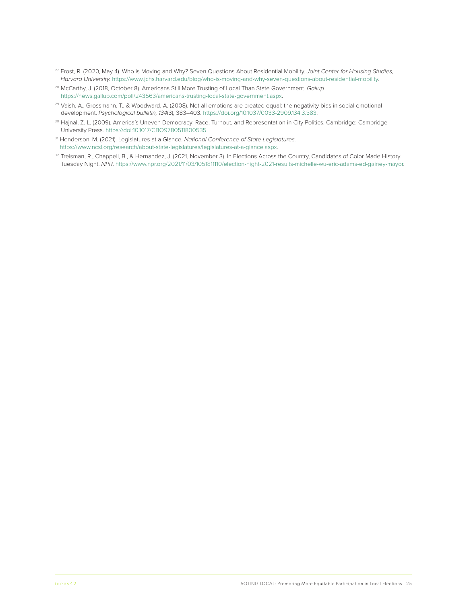- <span id="page-25-0"></span>[27](#page-16-0) Frost, R. (2020, May 4). Who is Moving and Why? Seven Questions About Residential Mobility. *Joint Center for Housing Studies, Harvard University.* [https://www.jchs.harvard.edu/blog/who-is-moving-and-why-seven-questions-about-residential-mobility.](https://www.jchs.harvard.edu/blog/who-is-moving-and-why-seven-questions-about-residential-mobility)
- [28](#page-20-0) McCarthy, J. (2018, October 8). Americans Still More Trusting of Local Than State Government. *Gallup*. [https://news.gallup.com/poll/243563/americans-trusting-local-state-government.aspx.](https://news.gallup.com/poll/243563/americans-trusting-local-state-government.aspx)
- <sup>[29](#page-21-0)</sup> Vaish, A., Grossmann, T., & Woodward, A. (2008). Not all emotions are created equal: the negativity bias in social-emotional development. *Psychological bulletin, 134*(3), 383–403.<https://doi.org/10.1037/0033-2909.134.3.383>.
- [30](#page-21-0) Hajnal, Z. L. (2009). America's Uneven Democracy: Race, Turnout, and Representation in City Politics. Cambridge: Cambridge University Press. [https://doi:10.1017/CBO9780511800535.](https://doi:10.1017/CBO9780511800535)
- [31](#page-21-0) Henderson, M. (2021). Legislatures at a Glance. *National Conference of State Legislatures.*  <https://www.ncsl.org/research/about-state-legislatures/legislatures-at-a-glance.aspx>.
- [32](#page-21-0) Treisman, R., Chappell, B., & Hernandez, J. (2021, November 3). In Elections Across the Country, Candidates of Color Made History Tuesday Night. *NPR*. [https://www.npr.org/2021/11/03/1051811110/election-night-2021-results-michelle-wu-eric-adams-ed-gainey-mayor.](https://www.npr.org/2021/11/03/1051811110/election-night-2021-results-michelle-wu-eric-adams-ed-gainey-mayor)